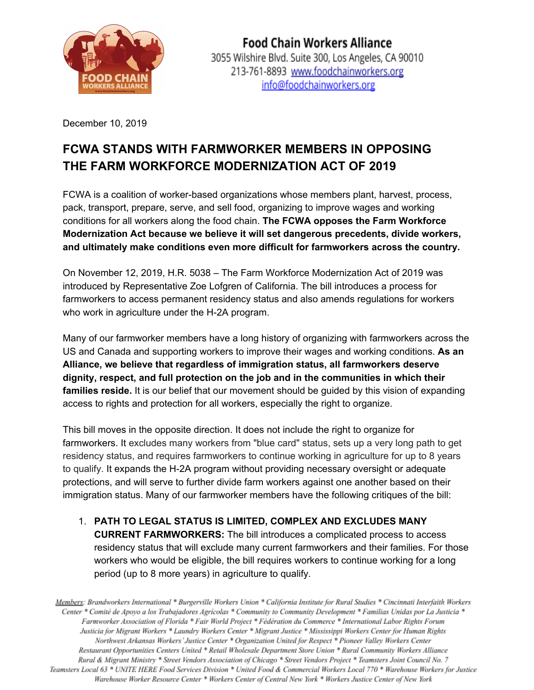

December 10, 2019

## **FCWA STANDS WITH FARMWORKER MEMBERS IN OPPOSING THE FARM WORKFORCE MODERNIZATION ACT OF 2019**

FCWA is a coalition of worker-based organizations whose members plant, harvest, process, pack, transport, prepare, serve, and sell food, organizing to improve wages and working conditions for all workers along the food chain. **The FCWA opposes the Farm Workforce Modernization Act because we believe it will set dangerous precedents, divide workers, and ultimately make conditions even more difficult for farmworkers across the country.**

On November 12, 2019, H.R. 5038 – The Farm Workforce Modernization Act of 2019 was introduced by Representative Zoe Lofgren of California. The bill introduces a process for farmworkers to access permanent residency status and also amends regulations for workers who work in agriculture under the H-2A program.

Many of our farmworker members have a long history of organizing with farmworkers across the US and Canada and supporting workers to improve their wages and working conditions. **As an Alliance, we believe that regardless of immigration status, all farmworkers deserve dignity, respect, and full protection on the job and in the communities in which their families reside.** It is our belief that our movement should be guided by this vision of expanding access to rights and protection for all workers, especially the right to organize.

This bill moves in the opposite direction. It does not include the right to organize for farmworkers. It excludes many workers from "blue card" status, sets up a very long path to get residency status, and requires farmworkers to continue working in agriculture for up to 8 years to qualify. It expands the H-2A program without providing necessary oversight or adequate protections, and will serve to further divide farm workers against one another based on their immigration status. Many of our farmworker members have the following critiques of the bill:

1. **PATH TO LEGAL STATUS IS LIMITED, COMPLEX AND EXCLUDES MANY CURRENT FARMWORKERS:** The bill introduces a complicated process to access residency status that will exclude many current farmworkers and their families. For those workers who would be eligible, the bill requires workers to continue working for a long period (up to 8 more years) in agriculture to qualify.

Members: Brandworkers International \* Burgerville Workers Union \* California Institute for Rural Studies \* Cincinnati Interfaith Workers Center \* Comité de Apoyo a los Trabajadores Agrícolas \* Community to Community Development \* Familias Unidas por La Justicia \* Farmworker Association of Florida \* Fair World Project \* Fédération du Commerce \* International Labor Rights Forum Justicia for Migrant Workers \* Laundry Workers Center \* Migrant Justice \* Mississippi Workers Center for Human Rights Northwest Arkansas Workers' Justice Center \* Organization United for Respect \* Pioneer Valley Workers Center Restaurant Opportunities Centers United \* Retail Wholesale Department Store Union \* Rural Community Workers Alliance Rural & Migrant Ministry \* Street Vendors Association of Chicago \* Street Vendors Project \* Teamsters Joint Council No. 7 Teamsters Local 63 \* UNITE HERE Food Services Division \* United Food & Commercial Workers Local 770 \* Warehouse Workers for Justice Warehouse Worker Resource Center \* Workers Center of Central New York \* Workers Justice Center of New York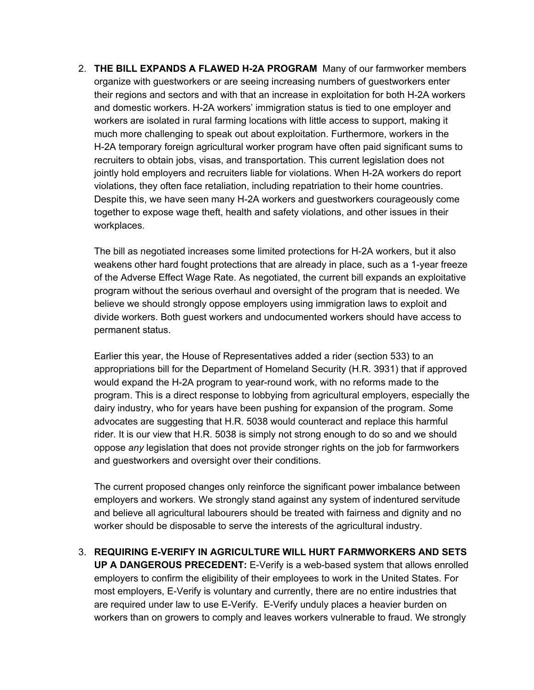2. **THE BILL EXPANDS A FLAWED H-2A PROGRAM** Many of our farmworker members organize with guestworkers or are seeing increasing numbers of guestworkers enter their regions and sectors and with that an increase in exploitation for both H-2A workers and domestic workers. H-2A workers' immigration status is tied to one employer and workers are isolated in rural farming locations with little access to support, making it much more challenging to speak out about exploitation. Furthermore, workers in the H-2A temporary foreign agricultural worker program have often paid significant sums to recruiters to obtain jobs, visas, and transportation. This current legislation does not jointly hold employers and recruiters liable for violations. When H-2A workers do report violations, they often face retaliation, including repatriation to their home countries. Despite this, we have seen many H-2A workers and guestworkers courageously come together to expose wage theft, health and safety violations, and other issues in their workplaces.

The bill as negotiated increases some limited protections for H-2A workers, but it also weakens other hard fought protections that are already in place, such as a 1-year freeze of the Adverse Effect Wage Rate. As negotiated, the current bill expands an exploitative program without the serious overhaul and oversight of the program that is needed. We believe we should strongly oppose employers using immigration laws to exploit and divide workers. Both guest workers and undocumented workers should have access to permanent status.

Earlier this year, the House of Representatives added a rider (section 533) to an appropriations bill for the Department of Homeland Security (H.R. 3931) that if approved would expand the H-2A program to year-round work, with no reforms made to the program. This is a direct response to lobbying from agricultural employers, especially the dairy industry, who for years have been pushing for expansion of the program. *S*ome advocates are suggesting that H.R. 5038 would counteract and replace this harmful rider. It is our view that H.R. 5038 is simply not strong enough to do so and we should oppose *any* legislation that does not provide stronger rights on the job for farmworkers and guestworkers and oversight over their conditions.

The current proposed changes only reinforce the significant power imbalance between employers and workers. We strongly stand against any system of indentured servitude and believe all agricultural labourers should be treated with fairness and dignity and no worker should be disposable to serve the interests of the agricultural industry.

3. **REQUIRING E-VERIFY IN AGRICULTURE WILL HURT FARMWORKERS AND SETS UP A DANGEROUS PRECEDENT:** E-Verify is a web-based system that allows enrolled employers to confirm the eligibility of their employees to work in the United States. For most employers, E-Verify is voluntary and currently, there are no entire industries that are required under law to use E-Verify. E-Verify unduly places a heavier burden on workers than on growers to comply and leaves workers vulnerable to fraud. We strongly